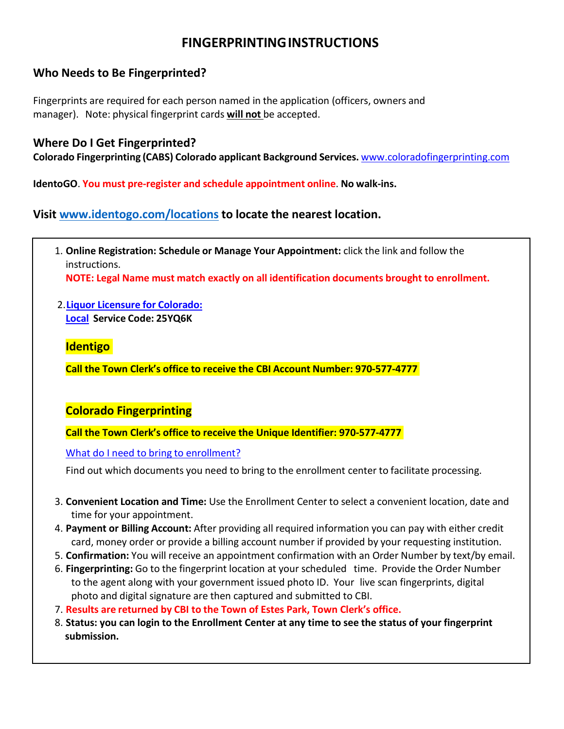# **FINGERPRINTINGINSTRUCTIONS**

# **Who Needs to Be Fingerprinted?**

Fingerprints are required for each person named in the application (officers, owners and manager). Note: physical fingerprint cards **will not** be accepted.

## **Where Do I Get Fingerprinted?**

**Colorado Fingerprinting (CABS) Colorado applicant Background Services.** [www.coloradofingerprinting.com](http://www.coloradofingerprinting.com/)

**IdentoGO**. **You must pre-register and schedule appointment online**. **No walk-ins.**

**Visit [www.identogo.com/locations](http://www.identogo.com/locations) to locate the nearest location.**

- 1. **Online Registration: Schedule or Manage Your Appointment:** click the link and follow the instructions. **NOTE: Legal Name must match exactly on all identification documents brought to enrollment.**
- 2.**Liquor Licensure for [Colorado:](https://uenroll.identogo.com/workflows/25YQ6K) [Local](https://uenroll.identogo.com/workflows/25YQ6K) Service Code: 25YQ6K**

## **Identigo**

**Call the Town Clerk's office to receive the CBI Account Number: 970-577-4777**

# **Colorado Fingerprinting**

**Call the Town Clerk's office to receive the Unique Identifier: 970-577-4777**

What do I need to bring [to enrollment?](https://uenroll.identogo.com/workflows/25YQ72/documents/citizenship)

Find out which documents you need to bring to the enrollment center to facilitate processing.

- 3. **Convenient Location and Time:** Use the Enrollment Center to select a convenient location, date and time for your appointment.
- 4. **Payment or Billing Account:** After providing all required information you can pay with either credit card, money order or provide a billing account number if provided by your requesting institution.
- 5. **Confirmation:** You will receive an appointment confirmation with an Order Number by text/by email.
- 6. **Fingerprinting:** Go to the fingerprint location at your scheduled time. Provide the Order Number to the agent along with your government issued photo ID. Your live scan fingerprints, digital photo and digital signature are then captured and submitted to CBI.
- 7. **Results are returned by CBI to the Town of Estes Park, Town Clerk's office.**
- 8. **Status: you can login to the Enrollment Center at any time to see the status of your fingerprint submission.**